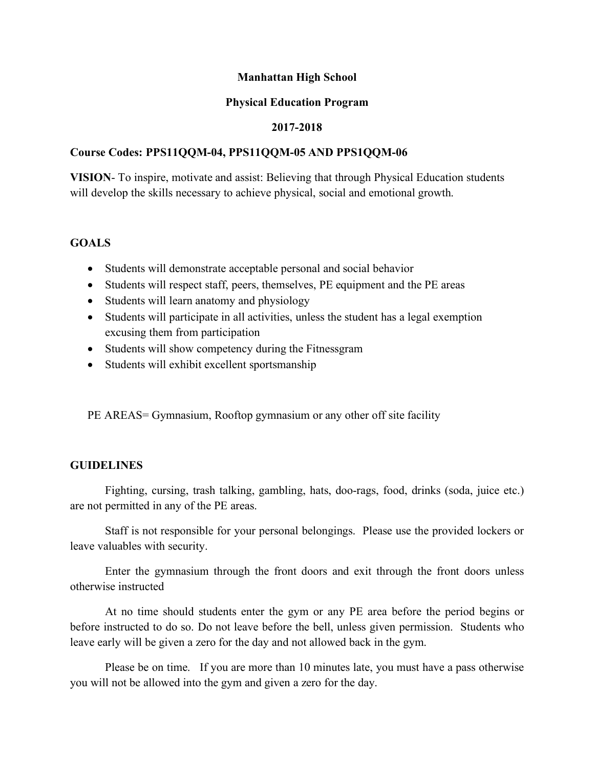## **Manhattan High School**

#### **Physical Education Program**

## **2017-2018**

## **Course Codes: PPS11QQM-04, PPS11QQM-05 AND PPS1QQM-06**

**VISION**- To inspire, motivate and assist: Believing that through Physical Education students will develop the skills necessary to achieve physical, social and emotional growth.

## **GOALS**

- Students will demonstrate acceptable personal and social behavior
- Students will respect staff, peers, themselves, PE equipment and the PE areas
- Students will learn anatomy and physiology
- Students will participate in all activities, unless the student has a legal exemption excusing them from participation
- Students will show competency during the Fitnessgram
- Students will exhibit excellent sportsmanship

PE AREAS= Gymnasium, Rooftop gymnasium or any other off site facility

#### **GUIDELINES**

Fighting, cursing, trash talking, gambling, hats, doo-rags, food, drinks (soda, juice etc.) are not permitted in any of the PE areas.

Staff is not responsible for your personal belongings. Please use the provided lockers or leave valuables with security.

Enter the gymnasium through the front doors and exit through the front doors unless otherwise instructed

At no time should students enter the gym or any PE area before the period begins or before instructed to do so. Do not leave before the bell, unless given permission. Students who leave early will be given a zero for the day and not allowed back in the gym.

Please be on time. If you are more than 10 minutes late, you must have a pass otherwise you will not be allowed into the gym and given a zero for the day.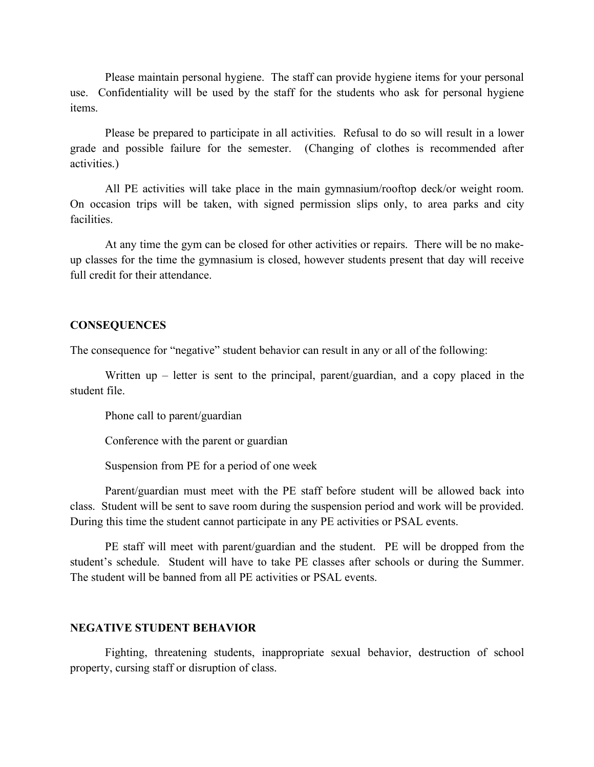Please maintain personal hygiene. The staff can provide hygiene items for your personal use. Confidentiality will be used by the staff for the students who ask for personal hygiene items.

Please be prepared to participate in all activities. Refusal to do so will result in a lower grade and possible failure for the semester. (Changing of clothes is recommended after activities.)

All PE activities will take place in the main gymnasium/rooftop deck/or weight room. On occasion trips will be taken, with signed permission slips only, to area parks and city facilities.

At any time the gym can be closed for other activities or repairs. There will be no makeup classes for the time the gymnasium is closed, however students present that day will receive full credit for their attendance.

#### **CONSEQUENCES**

The consequence for "negative" student behavior can result in any or all of the following:

Written up – letter is sent to the principal, parent/guardian, and a copy placed in the student file.

Phone call to parent/guardian

Conference with the parent or guardian

Suspension from PE for a period of one week

Parent/guardian must meet with the PE staff before student will be allowed back into class. Student will be sent to save room during the suspension period and work will be provided. During this time the student cannot participate in any PE activities or PSAL events.

PE staff will meet with parent/guardian and the student. PE will be dropped from the student's schedule. Student will have to take PE classes after schools or during the Summer. The student will be banned from all PE activities or PSAL events.

#### **NEGATIVE STUDENT BEHAVIOR**

Fighting, threatening students, inappropriate sexual behavior, destruction of school property, cursing staff or disruption of class.